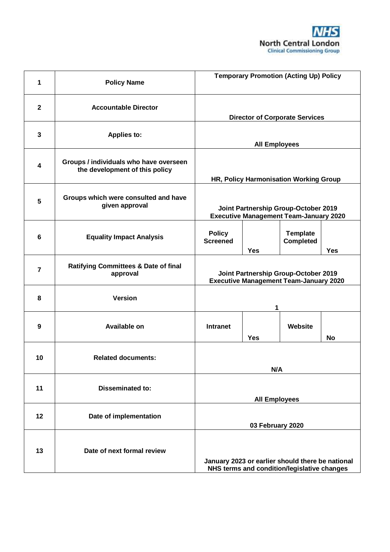

| 1                       | <b>Policy Name</b>                                                       | <b>Temporary Promotion (Acting Up) Policy</b>                                                   |            |                                     |            |
|-------------------------|--------------------------------------------------------------------------|-------------------------------------------------------------------------------------------------|------------|-------------------------------------|------------|
| $\mathbf{2}$            | <b>Accountable Director</b>                                              | <b>Director of Corporate Services</b>                                                           |            |                                     |            |
| $\mathbf{3}$            | <b>Applies to:</b>                                                       | <b>All Employees</b>                                                                            |            |                                     |            |
| $\overline{\mathbf{4}}$ | Groups / individuals who have overseen<br>the development of this policy | HR, Policy Harmonisation Working Group                                                          |            |                                     |            |
| 5                       | Groups which were consulted and have<br>given approval                   | Joint Partnership Group-October 2019<br><b>Executive Management Team-January 2020</b>           |            |                                     |            |
| $6\phantom{1}$          | <b>Equality Impact Analysis</b>                                          | <b>Policy</b><br><b>Screened</b>                                                                | <b>Yes</b> | <b>Template</b><br><b>Completed</b> | <b>Yes</b> |
| $\overline{7}$          | <b>Ratifying Committees &amp; Date of final</b><br>approval              | Joint Partnership Group-October 2019<br><b>Executive Management Team-January 2020</b>           |            |                                     |            |
| 8                       | <b>Version</b>                                                           |                                                                                                 | 1          |                                     |            |
| 9                       | <b>Available on</b>                                                      | <b>Intranet</b>                                                                                 | <b>Yes</b> | Website                             | No         |
| 10                      | <b>Related documents:</b>                                                | N/A                                                                                             |            |                                     |            |
| 11                      | <b>Disseminated to:</b>                                                  | <b>All Employees</b>                                                                            |            |                                     |            |
| 12                      | Date of implementation                                                   | 03 February 2020                                                                                |            |                                     |            |
| 13                      | Date of next formal review                                               | January 2023 or earlier should there be national<br>NHS terms and condition/legislative changes |            |                                     |            |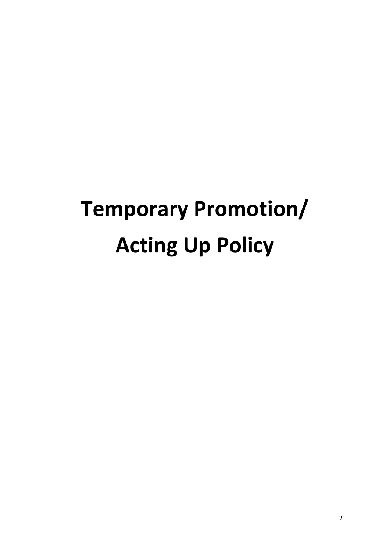# **Temporary Promotion/ Acting Up Policy**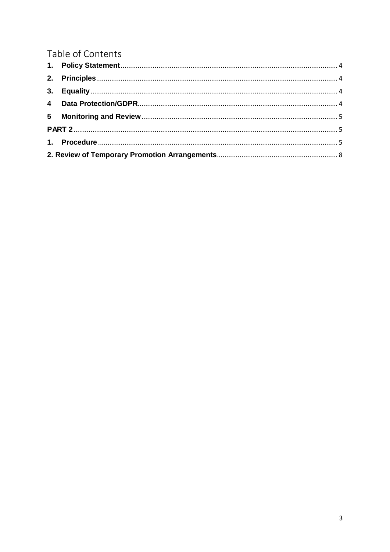# Table of Contents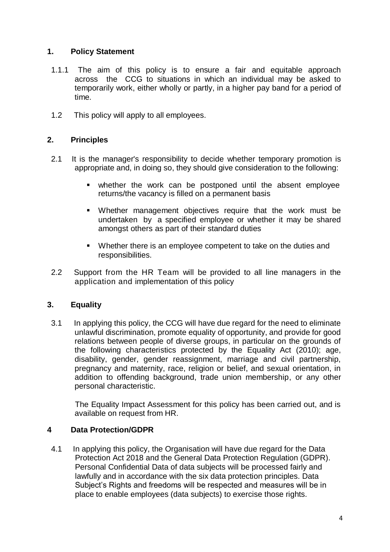# <span id="page-3-0"></span>**1. Policy Statement**

- 1.1.1 The aim of this policy is to ensure a fair and equitable approach across the CCG to situations in which an individual may be asked to temporarily work, either wholly or partly, in a higher pay band for a period of time.
- 1.2 This policy will apply to all employees.

# <span id="page-3-1"></span>**2. Principles**

- 2.1 It is the manager's responsibility to decide whether temporary promotion is appropriate and, in doing so, they should give consideration to the following:
	- whether the work can be postponed until the absent employee returns/the vacancy is filled on a permanent basis
	- Whether management objectives require that the work must be undertaken by a specified employee or whether it may be shared amongst others as part of their standard duties
	- Whether there is an employee competent to take on the duties and responsibilities.
- 2.2 Support from the HR Team will be provided to all line managers in the application and implementation of this policy

#### <span id="page-3-2"></span>**3. Equality**

3.1 In applying this policy, the CCG will have due regard for the need to eliminate unlawful discrimination, promote equality of opportunity, and provide for good relations between people of diverse groups, in particular on the grounds of the following characteristics protected by the Equality Act (2010); age, disability, gender, gender reassignment, marriage and civil partnership, pregnancy and maternity, race, religion or belief, and sexual orientation, in addition to offending background, trade union membership, or any other personal characteristic.

The Equality Impact Assessment for this policy has been carried out, and is available on request from HR.

# <span id="page-3-3"></span>**4 Data Protection/GDPR**

4.1 In applying this policy, the Organisation will have due regard for the Data Protection Act 2018 and the General Data Protection Regulation (GDPR). Personal Confidential Data of data subjects will be processed fairly and lawfully and in accordance with the six data protection principles. Data Subject's Rights and freedoms will be respected and measures will be in place to enable employees (data subjects) to exercise those rights.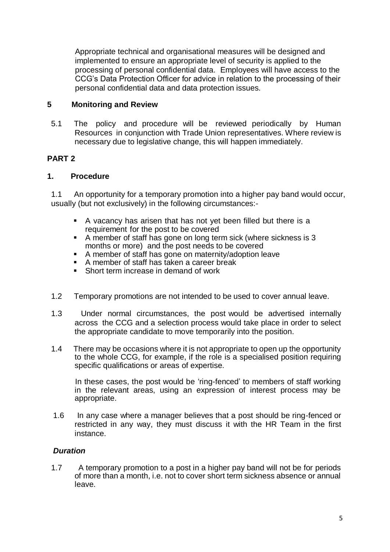Appropriate technical and organisational measures will be designed and implemented to ensure an appropriate level of security is applied to the processing of personal confidential data. Employees will have access to the CCG's Data Protection Officer for advice in relation to the processing of their personal confidential data and data protection issues.

# <span id="page-4-0"></span>**5 Monitoring and Review**

5.1 The policy and procedure will be reviewed periodically by Human Resources in conjunction with Trade Union representatives. Where review is necessary due to legislative change, this will happen immediately.

# <span id="page-4-1"></span>**PART 2**

# <span id="page-4-2"></span>**1. Procedure**

1.1 An opportunity for a temporary promotion into a higher pay band would occur, usually (but not exclusively) in the following circumstances:-

- A vacancy has arisen that has not yet been filled but there is a requirement for the post to be covered
- A member of staff has gone on long term sick (where sickness is 3 months or more) and the post needs to be covered
- A member of staff has gone on maternity/adoption leave
- $\blacksquare$  A member of staff has taken a career break
- Short term increase in demand of work
- 1.2 Temporary promotions are not intended to be used to cover annual leave.
- 1.3 Under normal circumstances, the post would be advertised internally across the CCG and a selection process would take place in order to select the appropriate candidate to move temporarily into the position.
- 1.4 There may be occasions where it is not appropriate to open up the opportunity to the whole CCG, for example, if the role is a specialised position requiring specific qualifications or areas of expertise.

In these cases, the post would be 'ring-fenced' to members of staff working in the relevant areas, using an expression of interest process may be appropriate.

1.6 In any case where a manager believes that a post should be ring-fenced or restricted in any way, they must discuss it with the HR Team in the first instance.

#### *Duration*

1.7 A temporary promotion to a post in a higher pay band will not be for periods of more than a month, i.e. not to cover short term sickness absence or annual leave.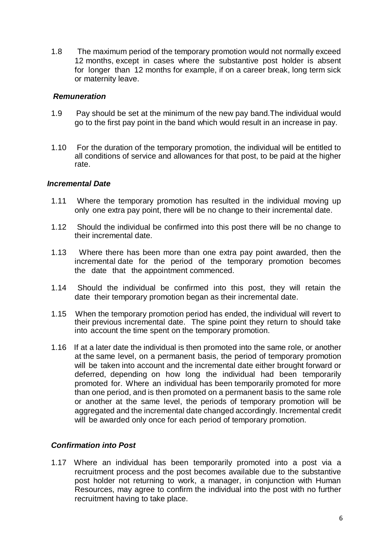1.8 The maximum period of the temporary promotion would not normally exceed 12 months, except in cases where the substantive post holder is absent for longer than 12 months for example, if on a career break, long term sick or maternity leave.

#### *Remuneration*

- 1.9 Pay should be set at the minimum of the new pay band.The individual would go to the first pay point in the band which would result in an increase in pay.
- 1.10 For the duration of the temporary promotion, the individual will be entitled to all conditions of service and allowances for that post, to be paid at the higher rate.

#### *Incremental Date*

- 1.11 Where the temporary promotion has resulted in the individual moving up only one extra pay point, there will be no change to their incremental date.
- 1.12 Should the individual be confirmed into this post there will be no change to their incremental date.
- 1.13 Where there has been more than one extra pay point awarded, then the incremental date for the period of the temporary promotion becomes the date that the appointment commenced.
- 1.14 Should the individual be confirmed into this post, they will retain the date their temporary promotion began as their incremental date.
- 1.15 When the temporary promotion period has ended, the individual will revert to their previous incremental date. The spine point they return to should take into account the time spent on the temporary promotion.
- 1.16 If at a later date the individual is then promoted into the same role, or another at the same level, on a permanent basis, the period of temporary promotion will be taken into account and the incremental date either brought forward or deferred, depending on how long the individual had been temporarily promoted for. Where an individual has been temporarily promoted for more than one period, and is then promoted on a permanent basis to the same role or another at the same level, the periods of temporary promotion will be aggregated and the incremental date changed accordingly. Incremental credit will be awarded only once for each period of temporary promotion.

#### *Confirmation into Post*

1.17 Where an individual has been temporarily promoted into a post via a recruitment process and the post becomes available due to the substantive post holder not returning to work, a manager, in conjunction with Human Resources, may agree to confirm the individual into the post with no further recruitment having to take place.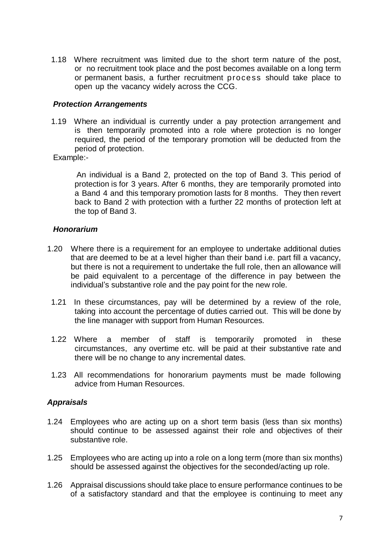1.18 Where recruitment was limited due to the short term nature of the post, or no recruitment took place and the post becomes available on a long term or permanent basis, a further recruitment proce ss should take place to open up the vacancy widely across the CCG.

#### *Protection Arrangements*

1.19 Where an individual is currently under a pay protection arrangement and is then temporarily promoted into a role where protection is no longer required, the period of the temporary promotion will be deducted from the period of protection.

Example:-

An individual is a Band 2, protected on the top of Band 3. This period of protection is for 3 years. After 6 months, they are temporarily promoted into a Band 4 and this temporary promotion lasts for 8 months. They then revert back to Band 2 with protection with a further 22 months of protection left at the top of Band 3.

#### *Honorarium*

- 1.20 Where there is a requirement for an employee to undertake additional duties that are deemed to be at a level higher than their band i.e. part fill a vacancy, but there is not a requirement to undertake the full role, then an allowance will be paid equivalent to a percentage of the difference in pay between the individual's substantive role and the pay point for the new role.
	- 1.21 In these circumstances, pay will be determined by a review of the role, taking into account the percentage of duties carried out. This will be done by the line manager with support from Human Resources.
- 1.22 Where a member of staff is temporarily promoted in these circumstances, any overtime etc. will be paid at their substantive rate and there will be no change to any incremental dates.
- 1.23 All recommendations for honorarium payments must be made following advice from Human Resources.

#### *Appraisals*

- 1.24 Employees who are acting up on a short term basis (less than six months) should continue to be assessed against their role and objectives of their substantive role.
- 1.25 Employees who are acting up into a role on a long term (more than six months) should be assessed against the objectives for the seconded/acting up role.
- 1.26 Appraisal discussions should take place to ensure performance continues to be of a satisfactory standard and that the employee is continuing to meet any